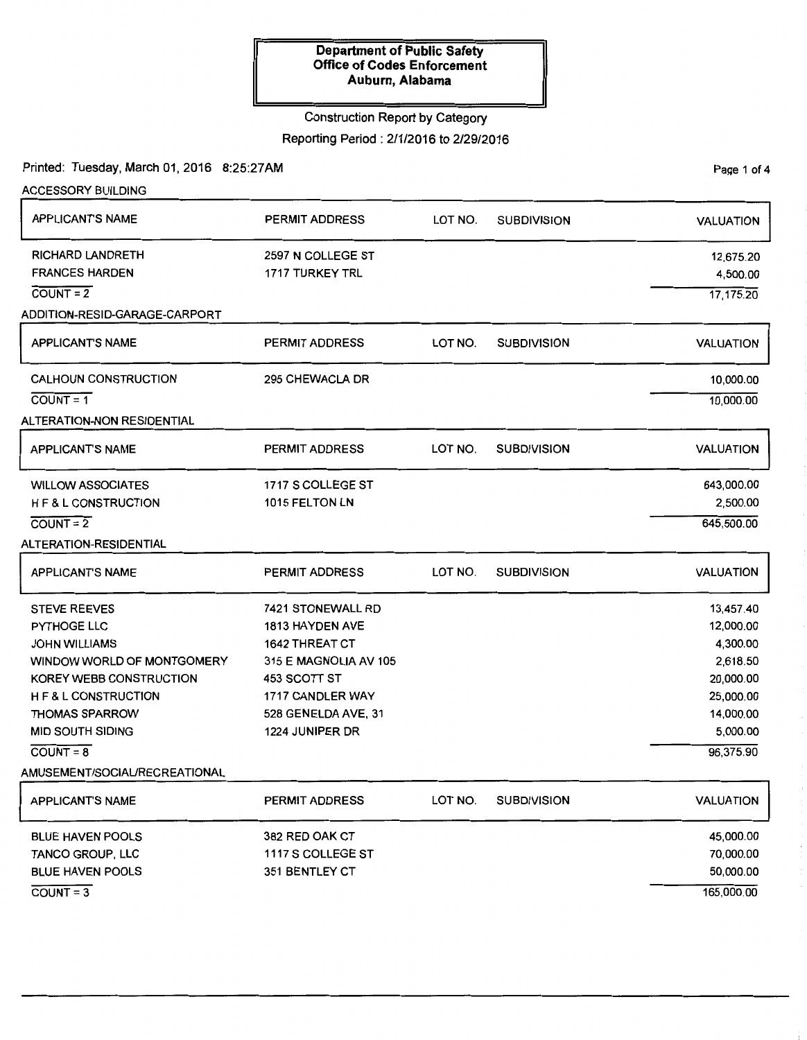### Construction Report by Category

Reporting Period: 2/1/2016 to 2/29/2016

Printed: Tuesday, March 01, 2016 8:25:27AM

Page 1 of 4

| <b>ACCESSORY BUILDING</b>       |                       |         |                    |                  |
|---------------------------------|-----------------------|---------|--------------------|------------------|
| <b>APPLICANT'S NAME</b>         | PERMIT ADDRESS        | LOT NO. | <b>SUBDIVISION</b> | <b>VALUATION</b> |
| <b>RICHARD LANDRETH</b>         | 2597 N COLLEGE ST     |         |                    | 12,675.20        |
| <b>FRANCES HARDEN</b>           | 1717 TURKEY TRL       |         |                    | 4,500.00         |
| $COUNT = 2$                     |                       |         |                    | 17,175.20        |
| ADDITION-RESID-GARAGE-CARPORT   |                       |         |                    |                  |
| <b>APPLICANT'S NAME</b>         | <b>PERMIT ADDRESS</b> | LOT NO. | <b>SUBDIVISION</b> | <b>VALUATION</b> |
| <b>CALHOUN CONSTRUCTION</b>     | 295 CHEWACLA DR       |         |                    | 10,000.00        |
| $\overline{COUNT} = 1$          |                       |         |                    | 10,000.00        |
| ALTERATION-NON RESIDENTIAL      |                       |         |                    |                  |
| <b>APPLICANT'S NAME</b>         | PERMIT ADDRESS        | LOT NO. | <b>SUBDIVISION</b> | <b>VALUATION</b> |
| <b>WILLOW ASSOCIATES</b>        | 1717 S COLLEGE ST     |         |                    | 643,000.00       |
| H F & L CONSTRUCTION            | 1015 FELTON LN        |         |                    | 2,500.00         |
| $COUNT = 2$                     |                       |         |                    | 645,500.00       |
| ALTERATION-RESIDENTIAL          |                       |         |                    |                  |
| <b>APPLICANT'S NAME</b>         | PERMIT ADDRESS        | LOT NO. | <b>SUBDIVISION</b> | <b>VALUATION</b> |
| <b>STEVE REEVES</b>             | 7421 STONEWALL RD     |         |                    | 13,457.40        |
| PYTHOGE LLC                     | 1813 HAYDEN AVE       |         |                    | 12,000.00        |
| <b>JOHN WILLIAMS</b>            | <b>1642 THREAT CT</b> |         |                    | 4,300.00         |
| WINDOW WORLD OF MONTGOMERY      | 315 E MAGNOLIA AV 105 |         |                    | 2,618.50         |
| KOREY WEBB CONSTRUCTION         | 453 SCOTT ST          |         |                    | 20,000.00        |
| <b>H F &amp; L CONSTRUCTION</b> | 1717 CANDLER WAY      |         |                    | 25,000.00        |
| <b>THOMAS SPARROW</b>           | 528 GENELDA AVE, 31   |         |                    | 14,000.00        |
| <b>MID SOUTH SIDING</b>         | 1224 JUNIPER DR       |         |                    | 5,000.00         |
| $\overline{COUNT} = 8$          |                       |         |                    | 96,375.90        |
| AMUSEMENT/SOCIAL/RECREATIONAL   |                       |         |                    |                  |
| <b>APPLICANT'S NAME</b>         | PERMIT ADDRESS        | LOT NO. | <b>SUBDIVISION</b> | <b>VALUATION</b> |
| <b>BLUE HAVEN POOLS</b>         | 382 RED OAK CT        |         |                    | 45,000.00        |
| TANCO GROUP, LLC                | 1117 S COLLEGE ST     |         |                    | 70,000.00        |
| <b>BLUE HAVEN POOLS</b>         | 351 BENTLEY CT        |         |                    | 50,000.00        |
| $\overline{COUNT}=3$            |                       |         |                    | 165,000.00       |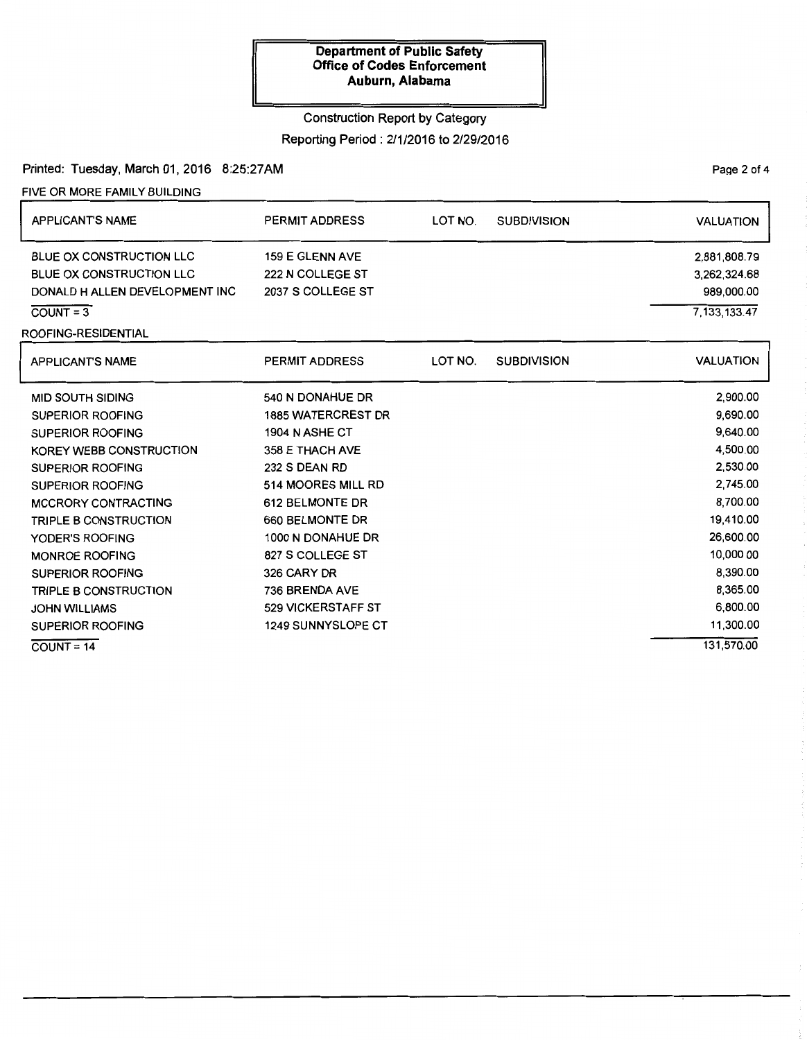# Construction Report by Category

Reporting Period: 2/1/2016 to 2/29/2016

Printed: Tuesday, March 01, 2016 8:25:27AM

FIVE OR MORE FAMILY BUILDING

| <b>APPLICANT'S NAME</b>         | PERMIT ADDRESS            | LOT NO. | <b>SUBDIVISION</b> | <b>VALUATION</b> |
|---------------------------------|---------------------------|---------|--------------------|------------------|
| <b>BLUE OX CONSTRUCTION LLC</b> | <b>159 E GLENN AVE</b>    |         |                    | 2,881,808.79     |
| BLUE OX CONSTRUCTION LLC        | 222 N COLLEGE ST          |         |                    | 3,262,324.68     |
| DONALD H ALLEN DEVELOPMENT INC  | 2037 S COLLEGE ST         |         |                    | 989,000.00       |
| $COUNT = 3$                     |                           |         |                    | 7, 133, 133. 47  |
| ROOFING-RESIDENTIAL             |                           |         |                    |                  |
| <b>APPLICANTS NAME</b>          | <b>PERMIT ADDRESS</b>     | LOT NO. | <b>SUBDIVISION</b> | <b>VALUATION</b> |
| <b>MID SOUTH SIDING</b>         | 540 N DONAHUE DR          |         |                    | 2,900.00         |
| <b>SUPERIOR ROOFING</b>         | <b>1885 WATERCREST DR</b> |         |                    | 9,690.00         |
| <b>SUPERIOR ROOFING</b>         | <b>1904 N ASHE CT</b>     |         |                    | 9,640.00         |
| KOREY WEBB CONSTRUCTION         | 358 E THACH AVE           |         |                    | 4,500.00         |
| <b>SUPERIOR ROOFING</b>         | 232 S DEAN RD             |         |                    | 2,530.00         |
| <b>SUPERIOR ROOFING</b>         | 514 MOORES MILL RD        |         |                    | 2,745.00         |
| MCCRORY CONTRACTING             | 612 BELMONTE DR           |         |                    | 8,700.00         |
| TRIPLE B CONSTRUCTION           | 660 BELMONTE DR           |         |                    | 19,410.00        |
| YODER'S ROOFING                 | 1000 N DONAHUE DR         |         |                    | 26,600.00        |
| <b>MONROE ROOFING</b>           | 827 S COLLEGE ST          |         |                    | 10,000.00        |
| <b>SUPERIOR ROOFING</b>         | 326 CARY DR               |         |                    | 8,390.00         |
| <b>TRIPLE B CONSTRUCTION</b>    | 736 BRENDA AVE            |         |                    | 8,365.00         |
| <b>JOHN WILLIAMS</b>            | <b>529 VICKERSTAFF ST</b> |         |                    | 6,800.00         |
| <b>SUPERIOR ROOFING</b>         | <b>1249 SUNNYSLOPE CT</b> |         |                    | 11,300.00        |
| $COUNT = 14$                    |                           |         |                    | 131.570.00       |

PaQe 2 of 4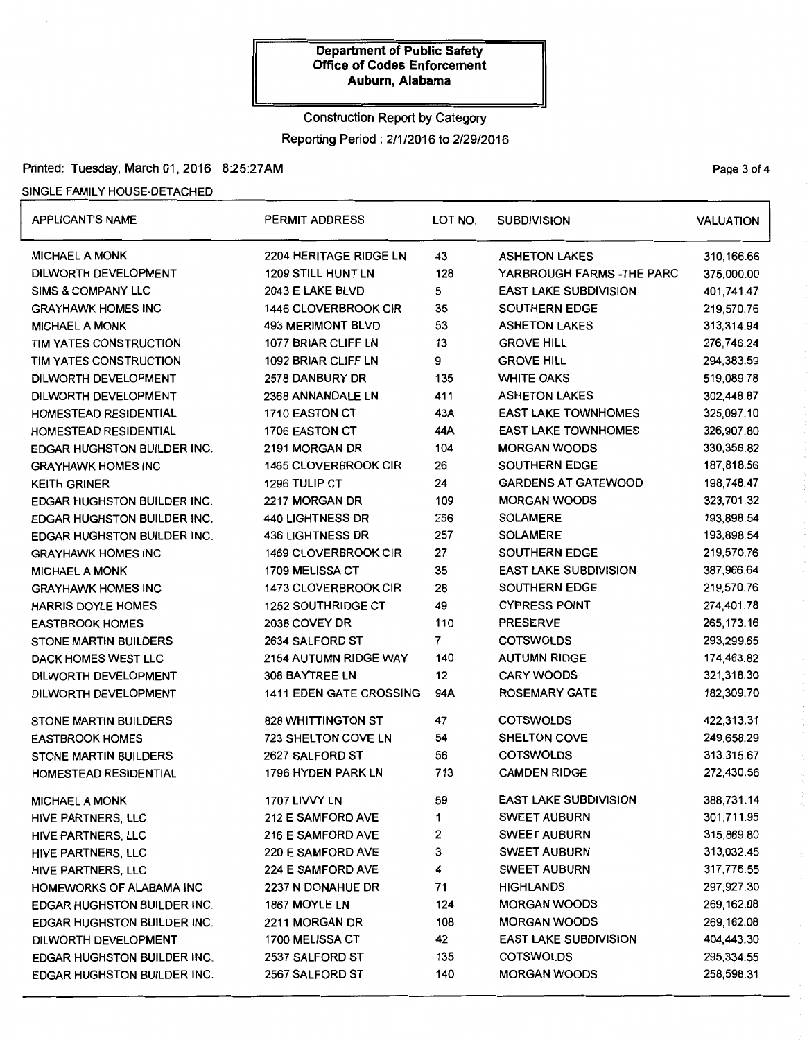# Construction Report by Category Reporting Period: 2/1/2016 to 2/29/2016

## Printed: Tuesday, March 01, 2016 8:25:27AM Printed: Tuesday, March 01, 2016 8:25:27AM

# SINGLE FAMILY HOUSE-DETACHED

| <b>APPLICANT'S NAME</b>            | PERMIT ADDRESS                 | LOT NO. | <b>SUBDIVISION</b>           | <b>VALUATION</b> |
|------------------------------------|--------------------------------|---------|------------------------------|------------------|
| <b>MICHAEL A MONK</b>              | 2204 HERITAGE RIDGE LN         | 43      | <b>ASHETON LAKES</b>         | 310,166.66       |
| DILWORTH DEVELOPMENT               | <b>1209 STILL HUNT LN</b>      | 128     | YARBROUGH FARMS - THE PARC   | 375,000.00       |
| <b>SIMS &amp; COMPANY LLC</b>      | 2043 E LAKE BLVD               | 5       | <b>EAST LAKE SUBDIVISION</b> | 401,741.47       |
| <b>GRAYHAWK HOMES INC</b>          | 1446 CLOVERBROOK CIR           | 35      | <b>SOUTHERN EDGE</b>         | 219,570.76       |
| <b>MICHAEL A MONK</b>              | <b>493 MERIMONT BLVD</b>       | 53      | <b>ASHETON LAKES</b>         | 313,314.94       |
| TIM YATES CONSTRUCTION             | 1077 BRIAR CLIFF LN            | 13      | <b>GROVE HILL</b>            | 276,746.24       |
| TIM YATES CONSTRUCTION             | 1092 BRIAR CLIFF LN            | 9       | <b>GROVE HILL</b>            | 294,383.59       |
| DILWORTH DEVELOPMENT               | 2578 DANBURY DR                | 135     | <b>WHITE OAKS</b>            | 519,089.78       |
| DILWORTH DEVELOPMENT               | 2368 ANNANDALE LN              | 411     | <b>ASHETON LAKES</b>         | 302,448.87       |
| HOMESTEAD RESIDENTIAL              | 1710 EASTON CT                 | 43A     | <b>EAST LAKE TOWNHOMES</b>   | 325,097.10       |
| HOMESTEAD RESIDENTIAL              | 1706 EASTON CT                 | 44A     | <b>EAST LAKE TOWNHOMES</b>   | 326,907.80       |
| EDGAR HUGHSTON BUILDER INC.        | 2191 MORGAN DR                 | 104     | <b>MORGAN WOODS</b>          | 330,356.82       |
| <b>GRAYHAWK HOMES INC</b>          | <b>1465 CLOVERBROOK CIR</b>    | 26      | <b>SOUTHERN EDGE</b>         | 187,818.56       |
| KEITH GRINER                       | 1296 TULIP CT                  | 24      | <b>GARDENS AT GATEWOOD</b>   | 198,748.47       |
| <b>EDGAR HUGHSTON BUILDER INC.</b> | 2217 MORGAN DR                 | 109     | <b>MORGAN WOODS</b>          | 323,701.32       |
| EDGAR HUGHSTON BUILDER INC.        | <b>440 LIGHTNESS DR</b>        | 256     | <b>SOLAMERE</b>              | 193,898.54       |
| EDGAR HUGHSTON BUILDER INC.        | <b>436 LIGHTNESS DR</b>        | 257     | <b>SOLAMERE</b>              | 193,898.54       |
| <b>GRAYHAWK HOMES INC</b>          | <b>1469 CLOVERBROOK CIR</b>    | 27      | <b>SOUTHERN EDGE</b>         | 219,570.76       |
| <b>MICHAEL A MONK</b>              | 1709 MELISSA CT                | 35      | <b>EAST LAKE SUBDIVISION</b> | 387,966.64       |
| <b>GRAYHAWK HOMES INC</b>          | 1473 CLOVERBROOK CIR           | 28      | <b>SOUTHERN EDGE</b>         | 219,570.76       |
| <b>HARRIS DOYLE HOMES</b>          | <b>1252 SOUTHRIDGE CT</b>      | 49      | <b>CYPRESS POINT</b>         | 274,401.78       |
| <b>EASTBROOK HOMES</b>             | 2038 COVEY DR                  | 110     | <b>PRESERVE</b>              | 265, 173. 16     |
| <b>STONE MARTIN BUILDERS</b>       | 2634 SALFORD ST                | 7       | <b>COTSWOLDS</b>             | 293,299.65       |
| DACK HOMES WEST LLC                | 2154 AUTUMN RIDGE WAY          | 140     | <b>AUTUMN RIDGE</b>          | 174,463.82       |
| DILWORTH DEVELOPMENT               | 308 BAYTREE LN                 | 12      | <b>CARY WOODS</b>            | 321,318.30       |
| DILWORTH DEVELOPMENT               | <b>1411 EDEN GATE CROSSING</b> | 94A     | <b>ROSEMARY GATE</b>         | 182,309.70       |
| <b>STONE MARTIN BUILDERS</b>       | <b>828 WHITTINGTON ST</b>      | 47      | <b>COTSWOLDS</b>             | 422,313.31       |
| <b>EASTBROOK HOMES</b>             | <b>723 SHELTON COVE LN</b>     | 54      | <b>SHELTON COVE</b>          | 249,658.29       |
| <b>STONE MARTIN BUILDERS</b>       | 2627 SALFORD ST                | 56      | <b>COTSWOLDS</b>             | 313,315.67       |
| HOMESTEAD RESIDENTIAL              | 1796 HYDEN PARK LN             | 713     | <b>CAMDEN RIDGE</b>          | 272,430.56       |
| <b>MICHAEL A MONK</b>              | 1707 LIVVY LN                  | 59      | <b>EAST LAKE SUBDIVISION</b> | 388,731.14       |
| HIVE PARTNERS, LLC                 | 212 E SAMFORD AVE              | 1       | <b>SWEET AUBURN</b>          | 301,711.95       |
| HIVE PARTNERS, LLC                 | <b>216 E SAMFORD AVE</b>       | 2       | <b>SWEET AUBURN</b>          | 315,869.80       |
| HIVE PARTNERS, LLC                 | 220 E SAMFORD AVE              | 3       | <b>SWEET AUBURN</b>          | 313,032.45       |
| HIVE PARTNERS, LLC                 | <b>224 E SAMFORD AVE</b>       | 4       | <b>SWEET AUBURN</b>          | 317,776.55       |
| HOMEWORKS OF ALABAMA INC           | 2237 N DONAHUE DR              | 71      | <b>HIGHLANDS</b>             | 297,927.30       |
| EDGAR HUGHSTON BUILDER INC.        | 1867 MOYLE LN                  | 124     | <b>MORGAN WOODS</b>          | 269, 162.08      |
| <b>EDGAR HUGHSTON BUILDER INC.</b> | 2211 MORGAN DR                 | 108     | <b>MORGAN WOODS</b>          | 269,162.08       |
| DILWORTH DEVELOPMENT               | 1700 MELISSA CT                | 42      | <b>EAST LAKE SUBDIVISION</b> | 404,443.30       |
| <b>EDGAR HUGHSTON BUILDER INC.</b> | 2537 SALFORD ST                | 135     | <b>COTSWOLDS</b>             | 295,334.55       |
| EDGAR HUGHSTON BUILDER INC.        | 2567 SALFORD ST                | 140     | <b>MORGAN WOODS</b>          | 258,598.31       |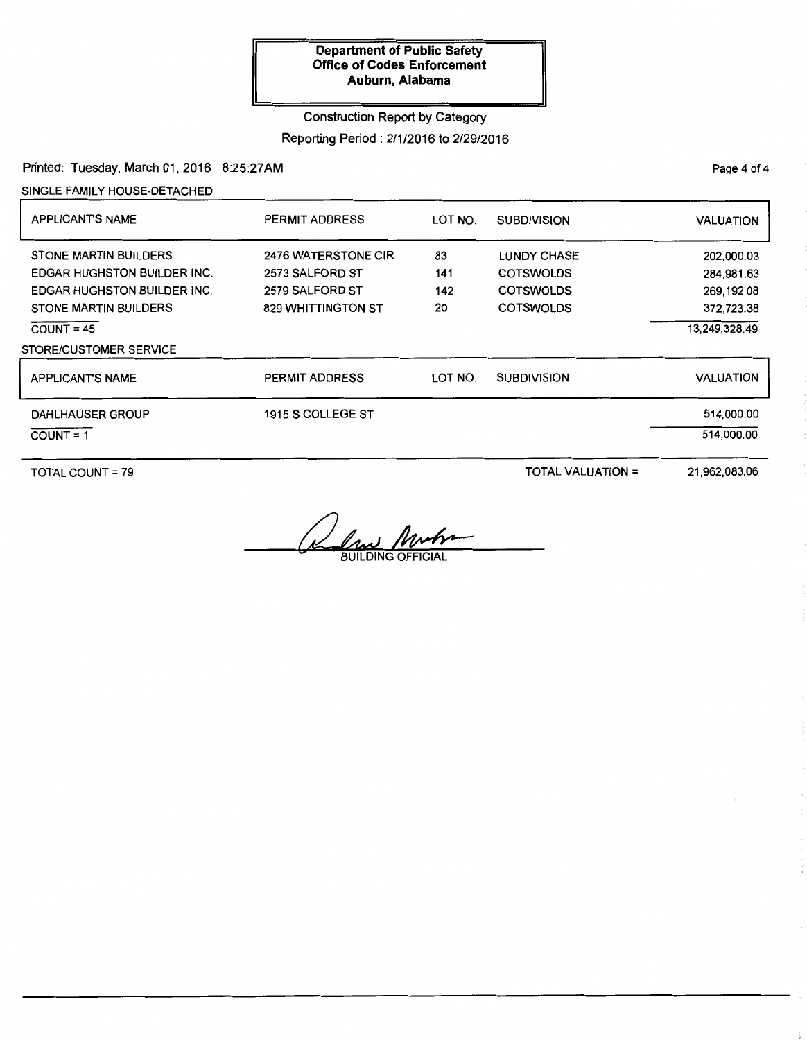## Construction Report by Category

Reporting Period: 2/1/2016 to 2/29/2016

Printed: Tuesday, March 01, 2016 8:25:27AM

SINGLE FAMILY HOUSE-DETACHED

| <b>APPLICANTS NAME</b>                                                                                                                                   | PERMIT ADDRESS                                                                         | LOT NO.                | <b>SUBDIVISION</b>                                                             | <b>VALUATION</b>                                                      |
|----------------------------------------------------------------------------------------------------------------------------------------------------------|----------------------------------------------------------------------------------------|------------------------|--------------------------------------------------------------------------------|-----------------------------------------------------------------------|
| <b>STONE MARTIN BUILDERS</b><br><b>EDGAR HUGHSTON BUILDER INC.</b><br><b>EDGAR HUGHSTON BUILDER INC.</b><br><b>STONE MARTIN BUILDERS</b><br>$COUNT = 45$ | <b>2476 WATERSTONE CIR</b><br>2573 SALFORD ST<br>2579 SALFORD ST<br>829 WHITTINGTON ST | 83<br>141<br>142<br>20 | <b>LUNDY CHASE</b><br><b>COTSWOLDS</b><br><b>COTSWOLDS</b><br><b>COTSWOLDS</b> | 202,000.03<br>284,981.63<br>269,192.08<br>372,723.38<br>13,249,328.49 |
| STORE/CUSTOMER SERVICE                                                                                                                                   |                                                                                        |                        |                                                                                |                                                                       |
| <b>APPLICANT'S NAME</b>                                                                                                                                  | <b>PERMIT ADDRESS</b>                                                                  | LOT NO.                | <b>SUBDIVISION</b>                                                             | <b>VALUATION</b>                                                      |
| DAHLHAUSER GROUP<br>$COUNT = 1$                                                                                                                          | 1915 S COLLEGE ST                                                                      |                        |                                                                                | 514,000.00<br>514.000.00                                              |

TOTAL COUNT= 79

TOTAL VALUATION=

21,962,083.06

<u>lw</u> **BUILDING OFFICIAL** 

PaQe 4 of 4